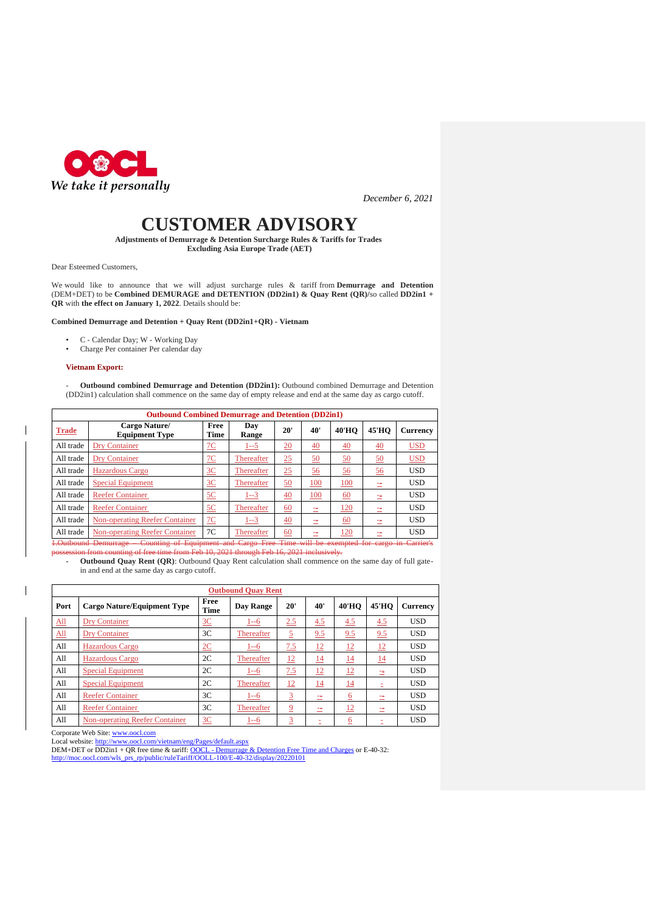

*December 6, 2021*

# **CUSTOMER ADVISORY**

**Adjustments of Demurrage & Detention Surcharge Rules & Tariffs for Trades Excluding Asia Europe Trade (AET)**

Dear Esteemed Customers,

We would like to announce that we will adjust surcharge rules & tariff from **Demurrage and Detention** (DEM+DET) to be **Combined DEMURAGE and DETENTION (DD2in1) & Quay Rent (QR)/**so called **DD2in1 + QR** with **the effect on January 1, 2022**. Details should be:

#### **Combined Demurrage and Detention + Quay Rent (DD2in1+QR) - Vietnam**

- C Calendar Day; W Working Day<br>• Charge Per container Per calendar da
- Charge Per container Per calendar day

#### **Vietnam Export:**

- **Outbound combined Demurrage and Detention (DD2in1):** Outbound combined Demurrage and Detention (DD2in1) calculation shall commence on the same day of empty release and end at the same day as cargo cutoff.

| <b>Outbound Combined Demurrage and Detention (DD2in1)</b>                                                        |                                        |                 |              |     |                 |                  |                  |            |  |
|------------------------------------------------------------------------------------------------------------------|----------------------------------------|-----------------|--------------|-----|-----------------|------------------|------------------|------------|--|
| <b>Trade</b>                                                                                                     | Cargo Nature/<br><b>Equipment Type</b> | Free<br>Time    | Dav<br>Range | 20' | 40'             | <b>40'HO</b>     | <b>45'HO</b>     | Currency   |  |
| All trade                                                                                                        | Dry Container                          | <u>7С</u>       | $1 - 5$      | 20  | $\overline{40}$ | $\overline{40}$  | 40               | <b>USD</b> |  |
| All trade                                                                                                        | <b>Dry Container</b>                   | $\overline{2C}$ | Thereafter   | 25  | <u>50</u>       | $\underline{50}$ | $\underline{50}$ | <b>USD</b> |  |
| All trade                                                                                                        | Hazardous Cargo                        | 3 <sup>C</sup>  | Thereafter   | 25  | 56              | 56               | 56               | <b>USD</b> |  |
| All trade                                                                                                        | <b>Special Equipment</b>               | 3 <sup>C</sup>  | Thereafter   | 50  | 100             | 100              |                  | <b>USD</b> |  |
| All trade                                                                                                        | <b>Reefer Container</b>                | 5C              | $1 - 3$      | 40  | 100             | <u>60</u>        |                  | <b>USD</b> |  |
| All trade                                                                                                        | <b>Reefer Container</b>                | 5C              | Thereafter   | 60  | --              | <u> 120</u>      |                  | <b>USD</b> |  |
| All trade                                                                                                        | <b>Non-operating Reefer Container</b>  | 7 <sub>C</sub>  | $1 - 3$      | 40  | --<br>-         | <u>60</u>        |                  | <b>USD</b> |  |
| All trade                                                                                                        | <b>Non-operating Reefer Container</b>  | 7C              | Thereafter   | 60  |                 | <u> 120</u>      |                  | <b>USD</b> |  |
| Counting of Equipment and Cargo Free Time will be exempted for cargo in Carrier's<br><b>1.Outbound Demurrage</b> |                                        |                 |              |     |                 |                  |                  |            |  |

**Outbound Combined Demurrage and Detention (DD2in1)**

possession from counting of free time from Feb 10, 2021 through Feb 16, 2021 inclusively.

- **Outbound Quay Rent (QR)**: Outbound Quay Rent calculation shall commence on the same day of full gatein and end at the same day as cargo cutoff.

| <b>Outbound Ouav Rent</b>  |                                       |                |            |                 |           |                |              |                 |
|----------------------------|---------------------------------------|----------------|------------|-----------------|-----------|----------------|--------------|-----------------|
| Port                       | <b>Cargo Nature/Equipment Type</b>    | Free<br>Time   | Day Range  | 20'             | 40'       | <b>40'HO</b>   | <b>45'HO</b> | <b>Currency</b> |
| $\underline{\mathrm{All}}$ | Dry Container                         | 3C             | $1 - 6$    | 2.5             | 4.5       | 4.5            | 4.5          | <b>USD</b>      |
| $\underline{\mathrm{All}}$ | Dry Container                         | 3 <sup>C</sup> | Thereafter | 5               | 9.5       | 9.5            | 9.5          | <b>USD</b>      |
| All                        | <b>Hazardous Cargo</b>                | 2C             | $1 - 6$    | 7.5             | 12        | 12             | 12           | <b>USD</b>      |
| All                        | <b>Hazardous Cargo</b>                | 2C             | Thereafter | $\overline{12}$ | <u>14</u> | <u> 14</u>     | <u> 14</u>   | <b>USD</b>      |
| All                        | <b>Special Equipment</b>              | 2C             | $1 - 6$    | 7.5             | 12        | 12             | 士            | <b>USD</b>      |
| All                        | <b>Special Equipment</b>              | 2C             | Thereafter | 12              | <u>14</u> | 14             | Ξ            | <b>USD</b>      |
| All                        | <b>Reefer Container</b>               | 3 <sup>C</sup> | $1 - 6$    | 3               | 士         | $\overline{6}$ | 士            | <b>USD</b>      |
| All                        | <b>Reefer Container</b>               | 3 <sup>C</sup> | Thereafter | $\overline{9}$  | ≕         | <u>12</u>      | Ξ            | <b>USD</b>      |
| All                        | <b>Non-operating Reefer Container</b> | 3C             | $1 - 6$    | 3               |           | $\overline{6}$ | ٠            | <b>USD</b>      |

Corporate Web Site: [www.oocl.com](http://www.oocl.com/)<br>Local website: http://www.oocl.com/v

lam/eng/Pages/default.aspx

DEM+DET or DD2in1 + QR free time & tariff: <u>OOCL - [Demurrage & Detention Free Time and Charges](https://www.oocl.com/vietnam/eng/localinformation/ddfreetime/Pages/default.aspx?site=vietnam&lang=eng)</u> or E-40-32:<br>[http://moc.oocl.com/wls\\_prs\\_rp/public/ruleTariff/OOLL-100/E-40-32/display/20220101](https://apc01.safelinks.protection.outlook.com/?url=http%3A%2F%2Fmoc.oocl.com%2Fwls_prs_rp%2Fpublic%2FruleTariff%2FOOLL-100%2FE-40-32%2Fdisplay%2F20220101&data=04%7C01%7Clinh.hoang%40oocl.com%7Cb897f0d3cc8b41824d0d08d9b57347e6%7C7851b4cc2c5c459f96d916731d6b4ca4%7C0%7C0%7C637740329755367825%7CUnknown%7CTWFpbGZsb3d8eyJWIjoiMC4wLjAwMDAiLCJQIjoiV2luMzIiLCJBTiI6Ik1haWwiLCJXVCI6Mn0%3D%7C3000&sdata=V%2BUrovOZT5riM5ovD9GmzPxufX5F4KqDN5Kas1WIzQ0%3D&reserved=0)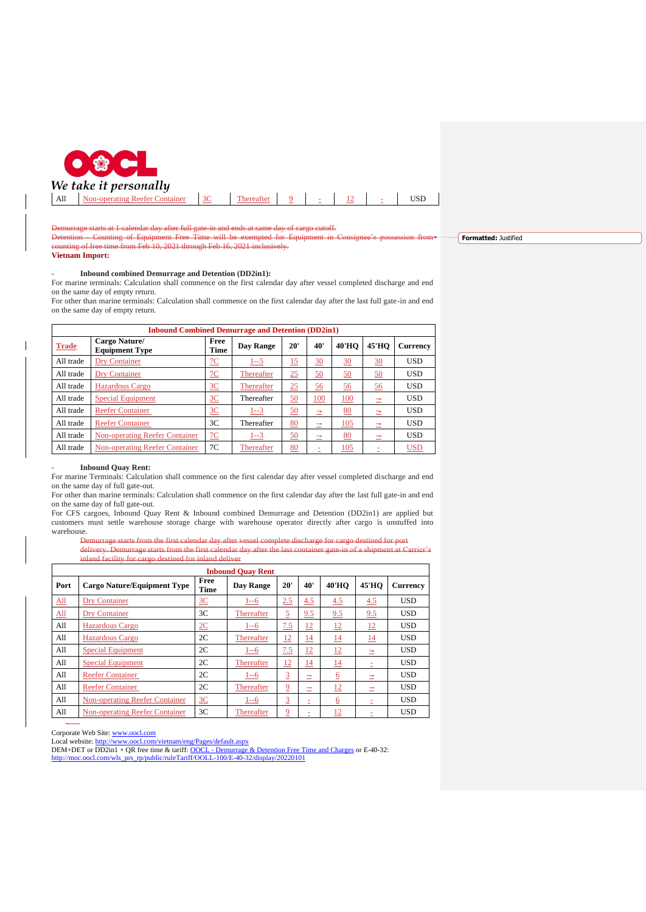

Demurrage starts at 1 calendar day after full gate-in and ends at same day of cargo cutoff.

Counting of Equipment Free Time will be exempted for Equip unting of free time from Feb  $10, 2021$  through Feb 16, 2021 inclusively. **Formatted:** Justified

# **Vietnam Import:**

### - **Inbound combined Demurrage and Detention (DD2in1):**

For marine terminals: Calculation shall commence on the first calendar day after vessel completed discharge and end on the same day of empty return.

For other than marine terminals: Calculation shall commence on the first calendar day after the last full gate-in and end on the same day of empty return.

| <b>Inbound Combined Demurrage and Detention (DD2in1)</b> |                                        |                  |            |           |            |              |              |                 |  |
|----------------------------------------------------------|----------------------------------------|------------------|------------|-----------|------------|--------------|--------------|-----------------|--|
| <b>Trade</b>                                             | Cargo Nature/<br><b>Equipment Type</b> | Free<br>Time     | Day Range  | 20'       | 40'        | <b>40'HO</b> | <b>45'HO</b> | <b>Currency</b> |  |
| All trade                                                | Dry Container                          | 7C               | $1 - 5$    | 15        | 30         | 30           | 30           | <b>USD</b>      |  |
| All trade                                                | Dry Container                          | $\underline{7C}$ | Thereafter | 25        | 50         | 50           | <u>50</u>    | <b>USD</b>      |  |
| All trade                                                | Hazardous Cargo                        | 3C               | Thereafter | 25        | <u>56</u>  | <u>56</u>    | <u>56</u>    | <b>USD</b>      |  |
| All trade                                                | <b>Special Equipment</b>               | 3C               | Thereafter | 50        | <b>100</b> | <u>100</u>   | 士            | <b>USD</b>      |  |
| All trade                                                | <b>Reefer Container</b>                | 3C               | $1 - 3$    | 50        | 二          | <u>80</u>    |              | <b>USD</b>      |  |
| All trade                                                | <b>Reefer Container</b>                | 3 <sup>C</sup>   | Thereafter | 80        | $\equiv$   | 105          |              | <b>USD</b>      |  |
| All trade                                                | <b>Non-operating Reefer Container</b>  | 7 <sub>C</sub>   | $1 - 3$    | <u>50</u> | 二          | 80           |              | <b>USD</b>      |  |
| All trade                                                | <b>Non-operating Reefer Container</b>  | 7C               | Thereafter | 80        | ٠          | 105          |              | <b>USD</b>      |  |

## - **Inbound Quay Rent:**

For marine Terminals: Calculation shall commence on the first calendar day after vessel completed discharge and end on the same day of full gate-out.

For other than marine terminals: Calculation shall commence on the first calendar day after the last full gate-in and end on the same day of full gate-out.

For CFS cargoes, Inbound Quay Rent & Inbound combined Demurrage and Detention (DD2in1) are applied but customers must settle warehouse storage charge with warehouse operator directly after cargo is unstuffed into warehouse.<br>Be

starts from the first calendar day after vessel complete discharge for cargo destined for port delivery. Demurrage starts from the first calendar day after the last container gate-in of a shipment at Carrie nd facility for cargo destined for inland deliver

| <b>Inbound Ouav Rent</b>   |                                       |              |            |                |     |                 |              |                 |  |
|----------------------------|---------------------------------------|--------------|------------|----------------|-----|-----------------|--------------|-----------------|--|
| Port                       | <b>Cargo Nature/Equipment Type</b>    | Free<br>Time | Day Range  | 20'            | 40' | <b>40'HO</b>    | <b>45'HO</b> | <b>Currency</b> |  |
| $\Delta$ ll                | Dry Container                         | 3C           | $1 - 6$    | 2.5            | 4.5 | 4.5             | 4.5          | <b>USD</b>      |  |
| $\underline{\mathrm{All}}$ | <b>Dry Container</b>                  | 3C           | Thereafter | 5              | 9.5 | 9.5             | 9.5          | <b>USD</b>      |  |
| All                        | Hazardous Cargo                       | 2C           | $1 - 6$    | 7.5            | 12  | 12              | <u>12</u>    | <b>USD</b>      |  |
| All                        | Hazardous Cargo                       | 2C           | Thereafter | 12             | 14  | $\overline{14}$ | 14           | <b>USD</b>      |  |
| All                        | <b>Special Equipment</b>              | 2C           | $1 - 6$    | 7.5            | 12  | <u> 12</u>      | 二            | <b>USD</b>      |  |
| All                        | <b>Special Equipment</b>              | 2C           | Thereafter | 12             | 14  | $\overline{14}$ | Ξ            | <b>USD</b>      |  |
| All                        | <b>Reefer Container</b>               | 2C           | $1 - 6$    | $\overline{3}$ | ÷.  | $6\overline{6}$ | ≕            | <b>USD</b>      |  |
| All                        | <b>Reefer Container</b>               | 2C           | Thereafter | 9              | ÷.  | <u>12</u>       | --           | <b>USD</b>      |  |
| All                        | <b>Non-operating Reefer Container</b> | 3C           | $1 - 6$    | 3              | ż   | $\underline{6}$ | ٠            | <b>USD</b>      |  |
| All                        | <b>Non-operating Reefer Container</b> | 3C           | Thereafter | $\overline{9}$ | ٠   | 12              |              | <b>USD</b>      |  |

-

Corporate Web Site: [www.oocl.com](http://www.oocl.com/)<br>Local website: http://www.oocl.com/ www.oocl.com/vietnam/eng/Pages/default.aspx

DEM+DET or DD2in1 + QR free time & tariff: <u>OOCL - [Demurrage & Detention Free Time and Charges](https://www.oocl.com/vietnam/eng/localinformation/ddfreetime/Pages/default.aspx?site=vietnam&lang=eng)</u> or E-40-32:<br>[http://moc.oocl.com/wls\\_prs\\_rp/public/ruleTariff/OOLL-100/E-40-32/display/20220101](https://apc01.safelinks.protection.outlook.com/?url=http%3A%2F%2Fmoc.oocl.com%2Fwls_prs_rp%2Fpublic%2FruleTariff%2FOOLL-100%2FE-40-32%2Fdisplay%2F20220101&data=04%7C01%7Clinh.hoang%40oocl.com%7Cb897f0d3cc8b41824d0d08d9b57347e6%7C7851b4cc2c5c459f96d916731d6b4ca4%7C0%7C0%7C637740329755367825%7CUnknown%7CTWFpbGZsb3d8eyJWIjoiMC4wLjAwMDAiLCJQIjoiV2luMzIiLCJBTiI6Ik1haWwiLCJXVCI6Mn0%3D%7C3000&sdata=V%2BUrovOZT5riM5ovD9GmzPxufX5F4KqDN5Kas1WIzQ0%3D&reserved=0)